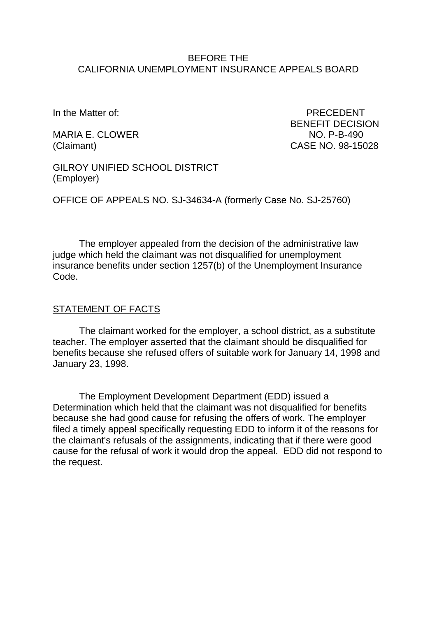### BEFORE THE CALIFORNIA UNEMPLOYMENT INSURANCE APPEALS BOARD

In the Matter of: **PRECEDENT** 

MARIA E. CLOWER NO. P-B-490

BENEFIT DECISION (Claimant) CASE NO. 98-15028

GILROY UNIFIED SCHOOL DISTRICT (Employer)

OFFICE OF APPEALS NO. SJ-34634-A (formerly Case No. SJ-25760)

The employer appealed from the decision of the administrative law judge which held the claimant was not disqualified for unemployment insurance benefits under section 1257(b) of the Unemployment Insurance Code.

#### STATEMENT OF FACTS

The claimant worked for the employer, a school district, as a substitute teacher. The employer asserted that the claimant should be disqualified for benefits because she refused offers of suitable work for January 14, 1998 and January 23, 1998.

The Employment Development Department (EDD) issued a Determination which held that the claimant was not disqualified for benefits because she had good cause for refusing the offers of work. The employer filed a timely appeal specifically requesting EDD to inform it of the reasons for the claimant's refusals of the assignments, indicating that if there were good cause for the refusal of work it would drop the appeal. EDD did not respond to the request.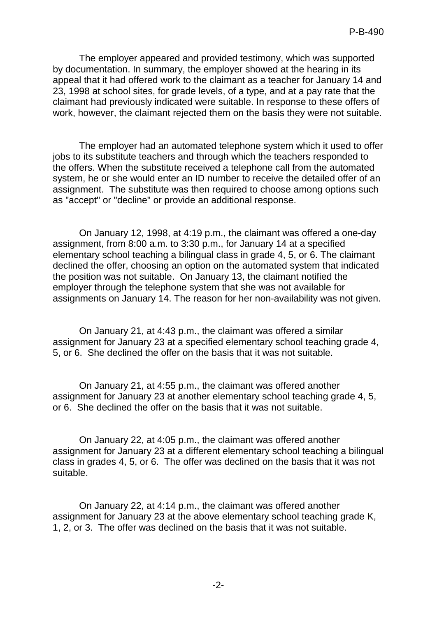The employer appeared and provided testimony, which was supported by documentation. In summary, the employer showed at the hearing in its appeal that it had offered work to the claimant as a teacher for January 14 and 23, 1998 at school sites, for grade levels, of a type, and at a pay rate that the claimant had previously indicated were suitable. In response to these offers of work, however, the claimant rejected them on the basis they were not suitable.

The employer had an automated telephone system which it used to offer jobs to its substitute teachers and through which the teachers responded to the offers. When the substitute received a telephone call from the automated system, he or she would enter an ID number to receive the detailed offer of an assignment. The substitute was then required to choose among options such as "accept" or "decline" or provide an additional response.

On January 12, 1998, at 4:19 p.m., the claimant was offered a one-day assignment, from 8:00 a.m. to 3:30 p.m., for January 14 at a specified elementary school teaching a bilingual class in grade 4, 5, or 6. The claimant declined the offer, choosing an option on the automated system that indicated the position was not suitable. On January 13, the claimant notified the employer through the telephone system that she was not available for assignments on January 14. The reason for her non-availability was not given.

On January 21, at 4:43 p.m., the claimant was offered a similar assignment for January 23 at a specified elementary school teaching grade 4, 5, or 6. She declined the offer on the basis that it was not suitable.

On January 21, at 4:55 p.m., the claimant was offered another assignment for January 23 at another elementary school teaching grade 4, 5, or 6. She declined the offer on the basis that it was not suitable.

On January 22, at 4:05 p.m., the claimant was offered another assignment for January 23 at a different elementary school teaching a bilingual class in grades 4, 5, or 6. The offer was declined on the basis that it was not suitable.

On January 22, at 4:14 p.m., the claimant was offered another assignment for January 23 at the above elementary school teaching grade K, 1, 2, or 3. The offer was declined on the basis that it was not suitable.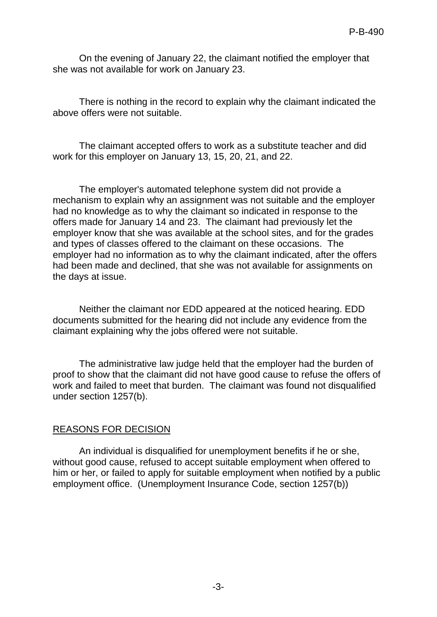On the evening of January 22, the claimant notified the employer that she was not available for work on January 23.

There is nothing in the record to explain why the claimant indicated the above offers were not suitable.

The claimant accepted offers to work as a substitute teacher and did work for this employer on January 13, 15, 20, 21, and 22.

The employer's automated telephone system did not provide a mechanism to explain why an assignment was not suitable and the employer had no knowledge as to why the claimant so indicated in response to the offers made for January 14 and 23. The claimant had previously let the employer know that she was available at the school sites, and for the grades and types of classes offered to the claimant on these occasions. The employer had no information as to why the claimant indicated, after the offers had been made and declined, that she was not available for assignments on the days at issue.

Neither the claimant nor EDD appeared at the noticed hearing. EDD documents submitted for the hearing did not include any evidence from the claimant explaining why the jobs offered were not suitable.

The administrative law judge held that the employer had the burden of proof to show that the claimant did not have good cause to refuse the offers of work and failed to meet that burden. The claimant was found not disqualified under section 1257(b).

## REASONS FOR DECISION

An individual is disqualified for unemployment benefits if he or she, without good cause, refused to accept suitable employment when offered to him or her, or failed to apply for suitable employment when notified by a public employment office. (Unemployment Insurance Code, section 1257(b))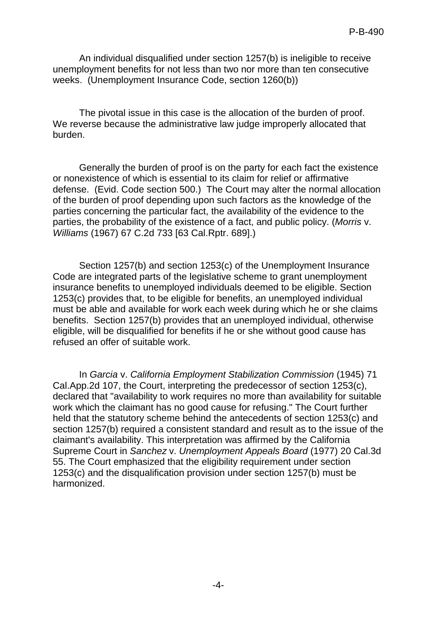An individual disqualified under section 1257(b) is ineligible to receive unemployment benefits for not less than two nor more than ten consecutive weeks. (Unemployment Insurance Code, section 1260(b))

The pivotal issue in this case is the allocation of the burden of proof. We reverse because the administrative law judge improperly allocated that burden.

Generally the burden of proof is on the party for each fact the existence or nonexistence of which is essential to its claim for relief or affirmative defense. (Evid. Code section 500.) The Court may alter the normal allocation of the burden of proof depending upon such factors as the knowledge of the parties concerning the particular fact, the availability of the evidence to the parties, the probability of the existence of a fact, and public policy. (*Morris* v. *Williams* (1967) 67 C.2d 733 [63 Cal.Rptr. 689].)

Section 1257(b) and section 1253(c) of the Unemployment Insurance Code are integrated parts of the legislative scheme to grant unemployment insurance benefits to unemployed individuals deemed to be eligible. Section 1253(c) provides that, to be eligible for benefits, an unemployed individual must be able and available for work each week during which he or she claims benefits. Section 1257(b) provides that an unemployed individual, otherwise eligible, will be disqualified for benefits if he or she without good cause has refused an offer of suitable work.

In *Garcia* v. *California Employment Stabilization Commission* (1945) 71 Cal.App.2d 107, the Court, interpreting the predecessor of section 1253(c), declared that "availability to work requires no more than availability for suitable work which the claimant has no good cause for refusing." The Court further held that the statutory scheme behind the antecedents of section 1253(c) and section 1257(b) required a consistent standard and result as to the issue of the claimant's availability. This interpretation was affirmed by the California Supreme Court in *Sanchez* v. *Unemployment Appeals Board* (1977) 20 Cal.3d 55. The Court emphasized that the eligibility requirement under section 1253(c) and the disqualification provision under section 1257(b) must be harmonized.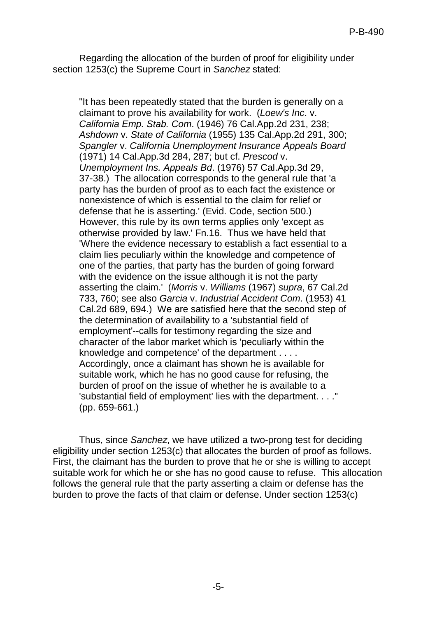Regarding the allocation of the burden of proof for eligibility under section 1253(c) the Supreme Court in *Sanchez* stated:

"It has been repeatedly stated that the burden is generally on a claimant to prove his availability for work. (*Loew's Inc*. v. *California Emp. Stab. Com*. (1946) 76 Cal.App.2d 231, 238; *Ashdown* v. *State of California* (1955) 135 Cal.App.2d 291, 300; *Spangler* v. *California Unemployment Insurance Appeals Board* (1971) 14 Cal.App.3d 284, 287; but cf. *Prescod* v. *Unemployment Ins. Appeals Bd*. (1976) 57 Cal.App.3d 29, 37-38.) The allocation corresponds to the general rule that 'a party has the burden of proof as to each fact the existence or nonexistence of which is essential to the claim for relief or defense that he is asserting.' (Evid. Code, section 500.) However, this rule by its own terms applies only 'except as otherwise provided by law.' Fn.16. Thus we have held that 'Where the evidence necessary to establish a fact essential to a claim lies peculiarly within the knowledge and competence of one of the parties, that party has the burden of going forward with the evidence on the issue although it is not the party asserting the claim.' (*Morris* v. *Williams* (1967) *supra*, 67 Cal.2d 733, 760; see also *Garcia* v. *Industrial Accident Com*. (1953) 41 Cal.2d 689, 694.) We are satisfied here that the second step of the determination of availability to a 'substantial field of employment'--calls for testimony regarding the size and character of the labor market which is 'peculiarly within the knowledge and competence' of the department . . . . Accordingly, once a claimant has shown he is available for suitable work, which he has no good cause for refusing, the burden of proof on the issue of whether he is available to a 'substantial field of employment' lies with the department. . . ." (pp. 659-661.)

Thus, since *Sanchez*, we have utilized a two-prong test for deciding eligibility under section 1253(c) that allocates the burden of proof as follows. First, the claimant has the burden to prove that he or she is willing to accept suitable work for which he or she has no good cause to refuse. This allocation follows the general rule that the party asserting a claim or defense has the burden to prove the facts of that claim or defense. Under section 1253(c)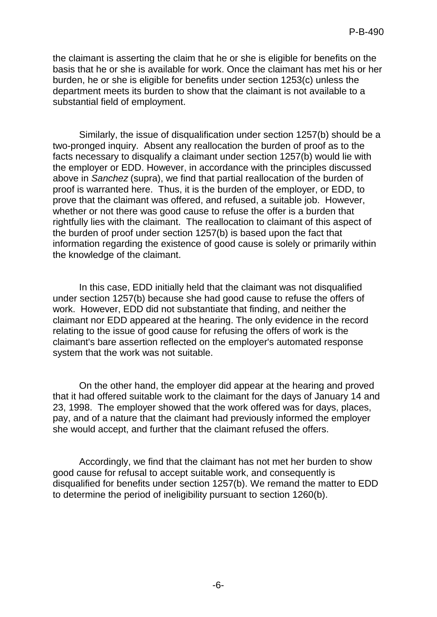the claimant is asserting the claim that he or she is eligible for benefits on the basis that he or she is available for work. Once the claimant has met his or her burden, he or she is eligible for benefits under section 1253(c) unless the department meets its burden to show that the claimant is not available to a substantial field of employment.

Similarly, the issue of disqualification under section 1257(b) should be a two-pronged inquiry. Absent any reallocation the burden of proof as to the facts necessary to disqualify a claimant under section 1257(b) would lie with the employer or EDD. However, in accordance with the principles discussed above in *Sanchez* (supra), we find that partial reallocation of the burden of proof is warranted here. Thus, it is the burden of the employer, or EDD, to prove that the claimant was offered, and refused, a suitable job. However, whether or not there was good cause to refuse the offer is a burden that rightfully lies with the claimant. The reallocation to claimant of this aspect of the burden of proof under section 1257(b) is based upon the fact that information regarding the existence of good cause is solely or primarily within the knowledge of the claimant.

In this case, EDD initially held that the claimant was not disqualified under section 1257(b) because she had good cause to refuse the offers of work. However, EDD did not substantiate that finding, and neither the claimant nor EDD appeared at the hearing. The only evidence in the record relating to the issue of good cause for refusing the offers of work is the claimant's bare assertion reflected on the employer's automated response system that the work was not suitable.

On the other hand, the employer did appear at the hearing and proved that it had offered suitable work to the claimant for the days of January 14 and 23, 1998. The employer showed that the work offered was for days, places, pay, and of a nature that the claimant had previously informed the employer she would accept, and further that the claimant refused the offers.

Accordingly, we find that the claimant has not met her burden to show good cause for refusal to accept suitable work, and consequently is disqualified for benefits under section 1257(b). We remand the matter to EDD to determine the period of ineligibility pursuant to section 1260(b).